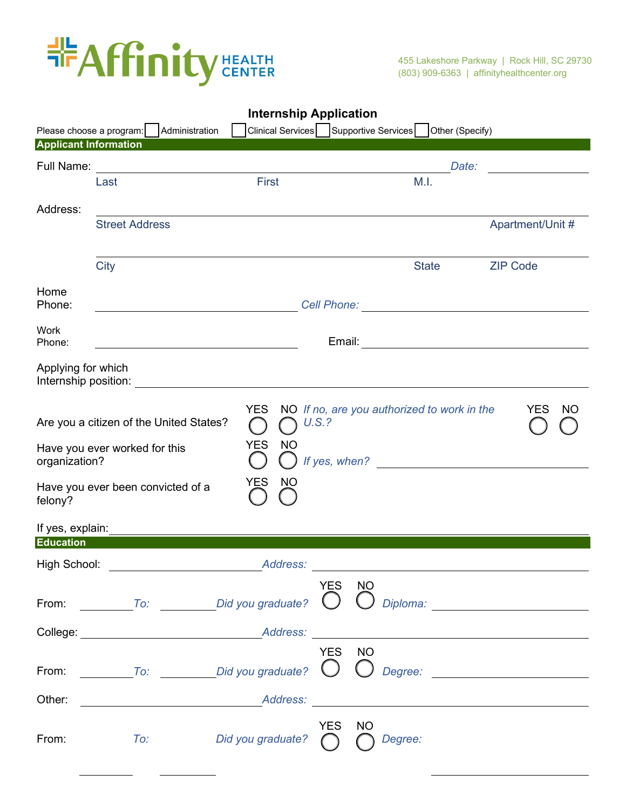

| <b>Internship Application</b> |                                                                                                                                                                                                                                                                                                                                                                               |                                |        |           |                                                              |                 |                 |                                                                                     |
|-------------------------------|-------------------------------------------------------------------------------------------------------------------------------------------------------------------------------------------------------------------------------------------------------------------------------------------------------------------------------------------------------------------------------|--------------------------------|--------|-----------|--------------------------------------------------------------|-----------------|-----------------|-------------------------------------------------------------------------------------|
| Please choose a program:      | Administration                                                                                                                                                                                                                                                                                                                                                                | Clinical Services              |        |           | Supportive Services                                          | Other (Specify) |                 |                                                                                     |
| <b>Applicant Information</b>  |                                                                                                                                                                                                                                                                                                                                                                               |                                |        |           |                                                              |                 |                 |                                                                                     |
| Full Name:                    |                                                                                                                                                                                                                                                                                                                                                                               |                                |        |           |                                                              | Date:           |                 |                                                                                     |
|                               | Last                                                                                                                                                                                                                                                                                                                                                                          | First                          |        |           | M.I.                                                         |                 |                 |                                                                                     |
| Address:                      |                                                                                                                                                                                                                                                                                                                                                                               |                                |        |           |                                                              |                 |                 |                                                                                     |
|                               | <b>Street Address</b>                                                                                                                                                                                                                                                                                                                                                         |                                |        |           |                                                              |                 |                 | Apartment/Unit #                                                                    |
|                               |                                                                                                                                                                                                                                                                                                                                                                               |                                |        |           |                                                              |                 |                 |                                                                                     |
|                               | City                                                                                                                                                                                                                                                                                                                                                                          |                                |        |           | <b>State</b>                                                 |                 | <b>ZIP Code</b> |                                                                                     |
|                               |                                                                                                                                                                                                                                                                                                                                                                               |                                |        |           |                                                              |                 |                 |                                                                                     |
| Home                          |                                                                                                                                                                                                                                                                                                                                                                               |                                |        |           |                                                              |                 |                 |                                                                                     |
| Phone:                        |                                                                                                                                                                                                                                                                                                                                                                               |                                |        |           |                                                              |                 |                 |                                                                                     |
| <b>Work</b>                   |                                                                                                                                                                                                                                                                                                                                                                               |                                |        |           |                                                              |                 |                 |                                                                                     |
| Phone:                        |                                                                                                                                                                                                                                                                                                                                                                               |                                |        |           |                                                              |                 |                 |                                                                                     |
| Applying for which            |                                                                                                                                                                                                                                                                                                                                                                               |                                |        |           |                                                              |                 |                 |                                                                                     |
|                               | Internship position:                                                                                                                                                                                                                                                                                                                                                          |                                |        |           |                                                              |                 |                 |                                                                                     |
| organization?                 | Are you a citizen of the United States?<br>Have you ever worked for this                                                                                                                                                                                                                                                                                                      | <b>YES</b><br><b>YES</b><br>NO | U.S.?  |           | NO If no, are you authorized to work in the<br>If yes, when? |                 |                 | YES<br>NO.                                                                          |
| felony?                       | Have you ever been convicted of a                                                                                                                                                                                                                                                                                                                                             | <b>YES</b><br>NO               |        |           |                                                              |                 |                 |                                                                                     |
| If yes, explain:              |                                                                                                                                                                                                                                                                                                                                                                               |                                |        |           |                                                              |                 |                 |                                                                                     |
| <b>Education</b>              |                                                                                                                                                                                                                                                                                                                                                                               |                                |        |           |                                                              |                 |                 |                                                                                     |
| High School:                  |                                                                                                                                                                                                                                                                                                                                                                               | Address:                       |        |           |                                                              |                 |                 |                                                                                     |
|                               | From: $\overline{I}$ $\overline{I}$ $\overline{I}$ $\overline{I}$ $\overline{I}$ $\overline{I}$ $\overline{I}$ $\overline{I}$ $\overline{I}$ $\overline{I}$ $\overline{I}$ $\overline{I}$ $\overline{I}$ $\overline{I}$ $\overline{I}$ $\overline{I}$ $\overline{I}$ $\overline{I}$ $\overline{I}$ $\overline{I}$ $\overline{I}$ $\overline{I}$ $\overline{I}$ $\overline{I}$ |                                | YES NO |           |                                                              |                 |                 | Diploma: <u>www.community.community.community.community.community.community.com</u> |
|                               | College: Address:                                                                                                                                                                                                                                                                                                                                                             |                                |        |           |                                                              |                 |                 |                                                                                     |
|                               |                                                                                                                                                                                                                                                                                                                                                                               |                                | YES NO |           |                                                              |                 |                 |                                                                                     |
|                               | From: $\underline{\hspace{1cm}}$ To: $\underline{\hspace{1cm}}$ Did you graduate? $\bigcirc$ $\bigcirc$ Degree: $\underline{\hspace{1cm}}$                                                                                                                                                                                                                                    |                                |        |           |                                                              |                 |                 |                                                                                     |
| Other:                        | <u>Address:</u> Address: Address: Address: Address: Address: Address: Address: Address: Address: Address: Address: Address: Address: Address: Address: Address: Address: Address: Address: Address: Address: Address: Address: Addr                                                                                                                                           |                                |        |           |                                                              |                 |                 |                                                                                     |
| From:                         | To:                                                                                                                                                                                                                                                                                                                                                                           | Did you graduate? $\bigcap$    | YES    | <b>NO</b> | Degree:                                                      |                 |                 |                                                                                     |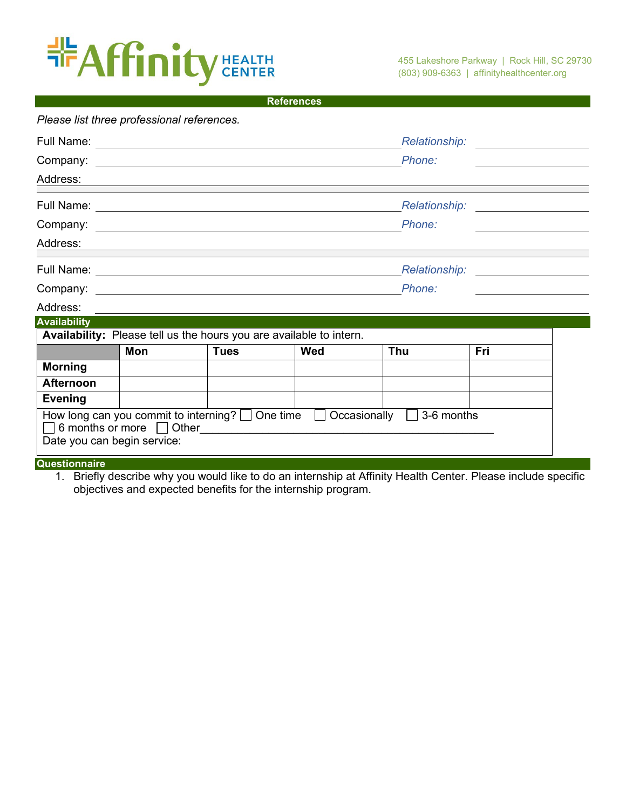## **EXAFFinity CEALTH**

| References |
|------------|
|------------|

| Please list three professional references. |                               |                                                                     |     |                                                                                            |                                    |                                         |
|--------------------------------------------|-------------------------------|---------------------------------------------------------------------|-----|--------------------------------------------------------------------------------------------|------------------------------------|-----------------------------------------|
|                                            |                               |                                                                     |     |                                                                                            |                                    |                                         |
|                                            |                               |                                                                     |     |                                                                                            |                                    | <u> 1989 - Johann Barbara, martin a</u> |
| Address:                                   |                               |                                                                     |     |                                                                                            |                                    |                                         |
|                                            |                               |                                                                     |     |                                                                                            | Relationship: ____________________ |                                         |
|                                            | Company: <u>Company:</u>      |                                                                     |     |                                                                                            |                                    |                                         |
| Address:                                   |                               |                                                                     |     |                                                                                            |                                    |                                         |
|                                            |                               |                                                                     |     |                                                                                            |                                    |                                         |
|                                            |                               |                                                                     |     |                                                                                            |                                    |                                         |
| Address:                                   |                               |                                                                     |     |                                                                                            |                                    |                                         |
| <b>Availability</b>                        |                               |                                                                     |     |                                                                                            |                                    |                                         |
|                                            |                               | Availability: Please tell us the hours you are available to intern. |     |                                                                                            |                                    |                                         |
|                                            | Mon                           | <b>Tues</b>                                                         | Wed | Thu                                                                                        | Fri                                |                                         |
| <b>Morning</b>                             |                               |                                                                     |     |                                                                                            |                                    |                                         |
| <b>Afternoon</b>                           |                               |                                                                     |     |                                                                                            |                                    |                                         |
| <b>Evening</b>                             |                               |                                                                     |     |                                                                                            |                                    |                                         |
| Date you can begin service:                | 6 months or more $\Box$ Other | How long can you commit to interning? $\Box$ One time $\Box$        |     | Occasionally  <br>3-6 months<br><u> 1980 - John Stein, Amerikaansk politiker (</u> † 1920) |                                    |                                         |
| Questionnaire                              |                               |                                                                     |     |                                                                                            |                                    |                                         |

1. Briefly describe why you would like to do an internship at Affinity Health Center. Please include specific objectives and expected benefits for the internship program.